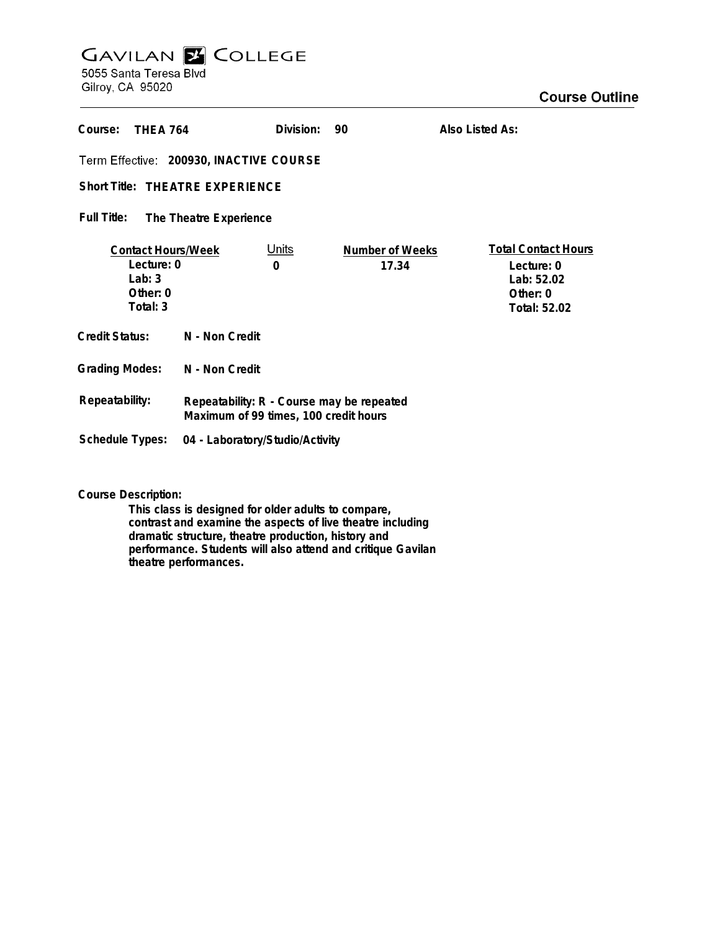## **GAVILAN E COLLEGE** 5055 Santa Teresa Blvd

Gilroy, CA 95020

| Course:<br><b>THFA 764</b>                                                     |                                                                                    | Division:         | 90                              | Also Listed As:                                                                    |
|--------------------------------------------------------------------------------|------------------------------------------------------------------------------------|-------------------|---------------------------------|------------------------------------------------------------------------------------|
| Term Effective: 200930, INACTIVE COURSE                                        |                                                                                    |                   |                                 |                                                                                    |
| <b>Short Title: THEATRE EXPERIENCE</b>                                         |                                                                                    |                   |                                 |                                                                                    |
| Full Title:<br>The Theatre Experience                                          |                                                                                    |                   |                                 |                                                                                    |
| <b>Contact Hours/Week</b><br>Lecture: 0<br>$1$ ab: 3<br>Other: $0$<br>Total: 3 |                                                                                    | <u>Units</u><br>0 | <b>Number of Weeks</b><br>17.34 | <b>Total Contact Hours</b><br>Lecture: 0<br>Lab: 52.02<br>Other: 0<br>Total: 52.02 |
| Credit Status:                                                                 | N - Non Credit                                                                     |                   |                                 |                                                                                    |
| <b>Grading Modes:</b>                                                          | N - Non Credit                                                                     |                   |                                 |                                                                                    |
| Repeatability:                                                                 | Repeatability: R - Course may be repeated<br>Maximum of 99 times, 100 credit hours |                   |                                 |                                                                                    |
| Schedule Types:                                                                | 04 - Laboratory/Studio/Activity                                                    |                   |                                 |                                                                                    |

**Course Description:**

**This class is designed for older adults to compare, contrast and examine the aspects of live theatre including dramatic structure, theatre production, history and performance. Students will also attend and critique Gavilan theatre performances.**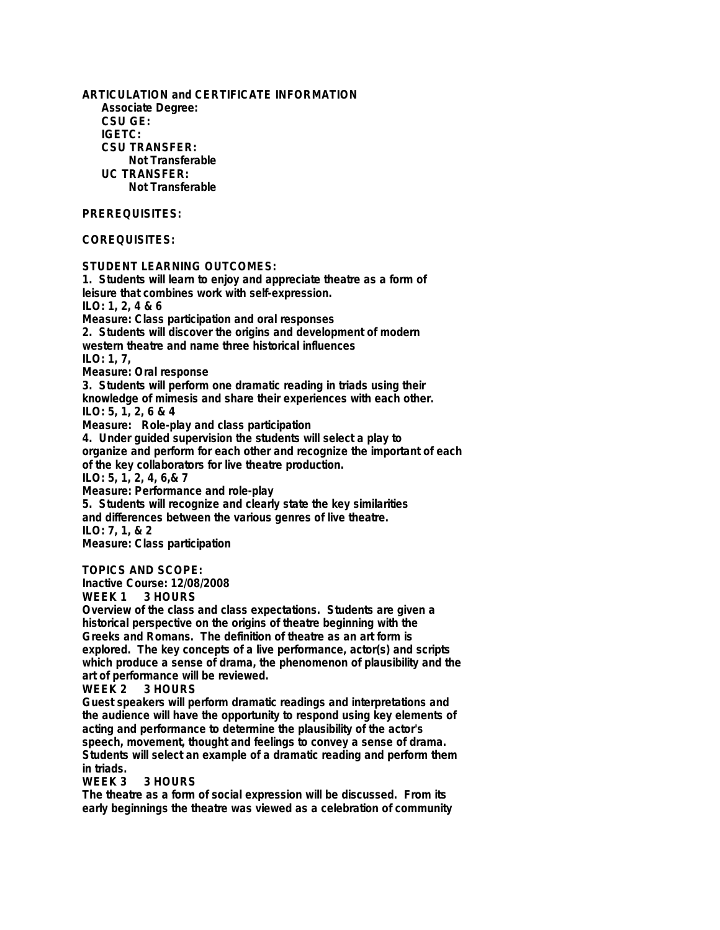**ARTICULATION and CERTIFICATE INFORMATION Associate Degree: CSU GE: IGETC: CSU TRANSFER: Not Transferable UC TRANSFER: Not Transferable PREREQUISITES: COREQUISITES: STUDENT LEARNING OUTCOMES: 1. Students will learn to enjoy and appreciate theatre as a form of leisure that combines work with self-expression. ILO: 1, 2, 4 & 6 Measure: Class participation and oral responses 2. Students will discover the origins and development of modern western theatre and name three historical influences ILO: 1, 7, Measure: Oral response 3. Students will perform one dramatic reading in triads using their knowledge of mimesis and share their experiences with each other. ILO: 5, 1, 2, 6 & 4 Measure: Role-play and class participation 4. Under guided supervision the students will select a play to organize and perform for each other and recognize the important of each of the key collaborators for live theatre production. ILO: 5, 1, 2, 4, 6,& 7 Measure: Performance and role-play 5. Students will recognize and clearly state the key similarities and differences between the various genres of live theatre. ILO: 7, 1, & 2 Measure: Class participation TOPICS AND SCOPE: Inactive Course: 12/08/2008 WEEK 1 3 HOURS Overview of the class and class expectations. Students are given a historical perspective on the origins of theatre beginning with the Greeks and Romans. The definition of theatre as an art form is**

**explored. The key concepts of a live performance, actor(s) and scripts which produce a sense of drama, the phenomenon of plausibility and the art of performance will be reviewed.**

**WEEK 2 3 HOURS**

**Guest speakers will perform dramatic readings and interpretations and the audience will have the opportunity to respond using key elements of acting and performance to determine the plausibility of the actor's speech, movement, thought and feelings to convey a sense of drama. Students will select an example of a dramatic reading and perform them in triads.**

3 HOURS

**The theatre as a form of social expression will be discussed. From its early beginnings the theatre was viewed as a celebration of community**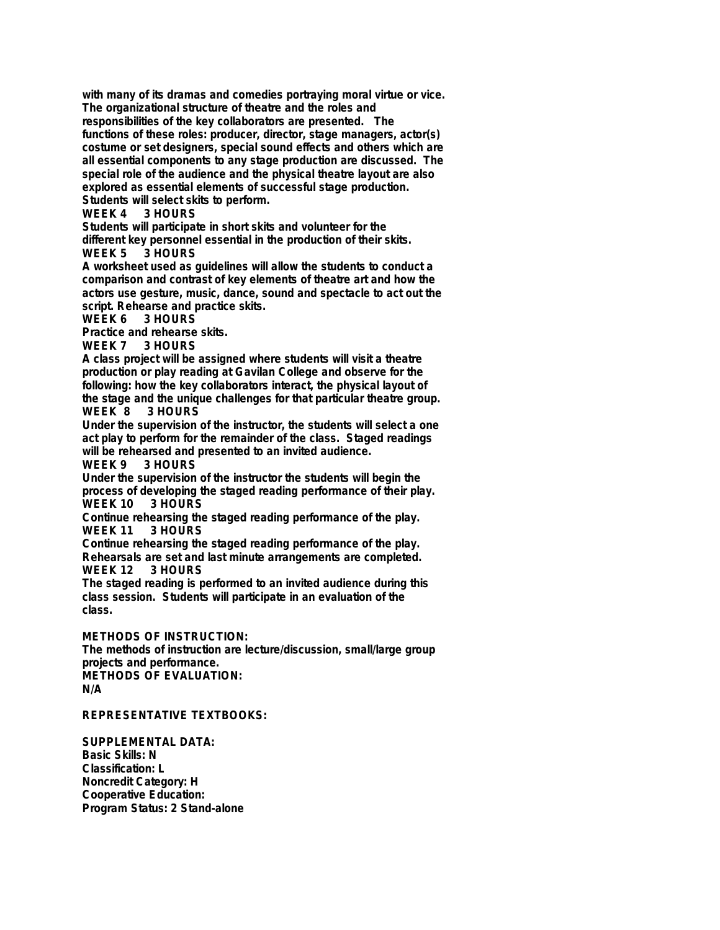**with many of its dramas and comedies portraying moral virtue or vice. The organizational structure of theatre and the roles and responsibilities of the key collaborators are presented. The functions of these roles: producer, director, stage managers, actor(s) costume or set designers, special sound effects and others which are all essential components to any stage production are discussed. The special role of the audience and the physical theatre layout are also explored as essential elements of successful stage production. Students will select skits to perform.**

## 3 HOURS

**Students will participate in short skits and volunteer for the different key personnel essential in the production of their skits. 3 HOURS** 

**A worksheet used as guidelines will allow the students to conduct a comparison and contrast of key elements of theatre art and how the actors use gesture, music, dance, sound and spectacle to act out the script. Rehearse and practice skits.**

**WEEK 6 3 HOURS**

**Practice and rehearse skits.**

**WEEK 7 3 HOURS**

**A class project will be assigned where students will visit a theatre production or play reading at Gavilan College and observe for the following: how the key collaborators interact, the physical layout of the stage and the unique challenges for that particular theatre group.** 3 HOURS

**Under the supervision of the instructor, the students will select a one act play to perform for the remainder of the class. Staged readings will be rehearsed and presented to an invited audience.**

**3 HOURS** 

**Under the supervision of the instructor the students will begin the process of developing the staged reading performance of their play. WEEK 10 3 HOURS**

**Continue rehearsing the staged reading performance of the play. WEEK 11** 

**Continue rehearsing the staged reading performance of the play. Rehearsals are set and last minute arrangements are completed.**

**WEEK 12 3 HOURS**

**The staged reading is performed to an invited audience during this class session. Students will participate in an evaluation of the class.**

**METHODS OF INSTRUCTION:**

**The methods of instruction are lecture/discussion, small/large group projects and performance. METHODS OF EVALUATION: N/A**

**REPRESENTATIVE TEXTBOOKS:**

**SUPPLEMENTAL DATA: Basic Skills: N Classification: L Noncredit Category: H Cooperative Education: Program Status: 2 Stand-alone**